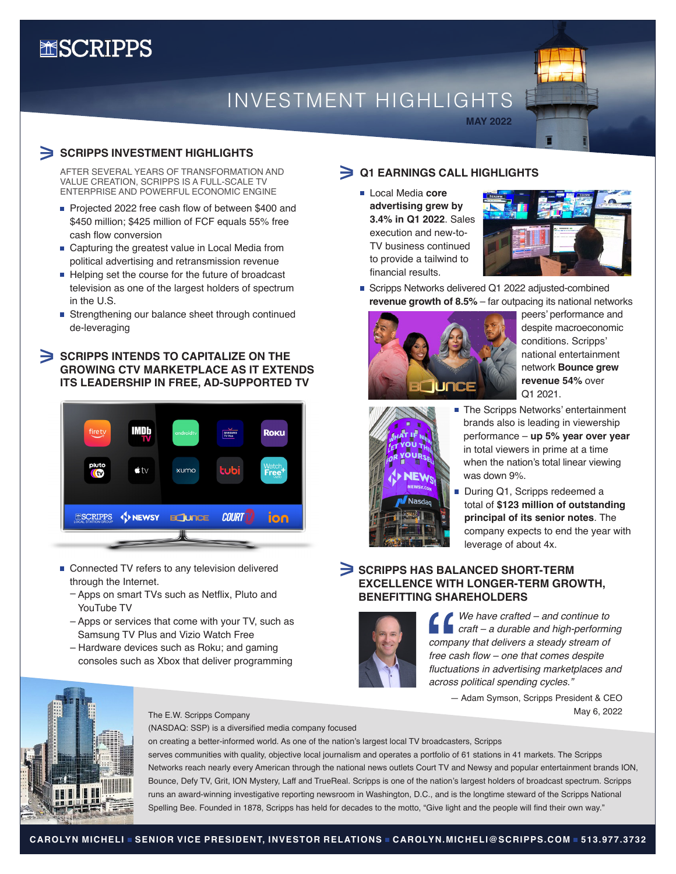# **MSCRIPPS**

## INVESTMENT HIGHLIGHTS

## **SCRIPPS INVESTMENT HIGHLIGHTS**

AFTER SEVERAL YEARS OF TRANSFORMATION AND VALUE CREATION, SCRIPPS IS A FULL-SCALE TV ENTERPRISE AND POWERFUL ECONOMIC ENGINE

- Projected 2022 free cash flow of between \$400 and \$450 million; \$425 million of FCF equals 55% free cash flow conversion
- Capturing the greatest value in Local Media from political advertising and retransmission revenue
- $\blacksquare$  Helping set the course for the future of broadcast television as one of the largest holders of spectrum in the U.S.
- Strengthening our balance sheet through continued de-leveraging

## SCRIPPS INTENDS TO CAPITALIZE ON THE **GROWING CTV MARKETPLACE AS IT EXTENDS ITS LEADERSHIP IN FREE, AD-SUPPORTED TV**



- Connected TV refers to any television delivered through the Internet.
	- Apps on smart TVs such as Netflix, Pluto and YouTube TV
	- Apps or services that come with your TV, such as Samsung TV Plus and Vizio Watch Free
	- Hardware devices such as Roku; and gaming consoles such as Xbox that deliver programming



## **Q1 EARNINGS CALL HIGHLIGHTS**

 Local Media **core advertising grew by 3.4% in Q1 2022**. Sales execution and new-to-TV business continued to provide a tailwind to financial results.



Scripps Networks delivered Q1 2022 adjusted-combined **revenue growth of 8.5%** – far outpacing its national networks

**MAY 2022**



peers' performance and despite macroeconomic conditions. Scripps' national entertainment network **Bounce grew revenue 54%** over Q1 2021.



- The Scripps Networks' entertainment brands also is leading in viewership performance – **up 5% year over year** in total viewers in prime at a time when the nation's total linear viewing was down 9%.
- During Q1, Scripps redeemed a total of **\$123 million of outstanding principal of its senior notes**. The company expects to end the year with leverage of about 4x.

## **SCRIPPS HAS BALANCED SHORT-TERM EXCELLENCE WITH LONGER-TERM GROWTH, BENEFITTING SHAREHOLDERS**



*We have crafted – and continue to craft – a durable and high-performing company that delivers a steady stream of*  free cash flow – one that comes despite fluctuations in advertising marketplaces and *across political spending cycles."*

> — Adam Symson, Scripps President & CEO May 6, 2022



#### The E.W. Scripps Company

(NASDAQ: SSP) is a diversified media company focused

on creating a better-informed world. As one of the nation's largest local TV broadcasters, Scripps

serves communities with quality, objective local journalism and operates a portfolio of 61 stations in 41 markets. The Scripps Networks reach nearly every American through the national news outlets Court TV and Newsy and popular entertainment brands ION, Bounce, Defy TV, Grit, ION Mystery, Laff and TrueReal. Scripps is one of the nation's largest holders of broadcast spectrum. Scripps runs an award-winning investigative reporting newsroom in Washington, D.C., and is the longtime steward of the Scripps National Spelling Bee. Founded in 1878, Scripps has held for decades to the motto, "Give light and the people will find their own way."